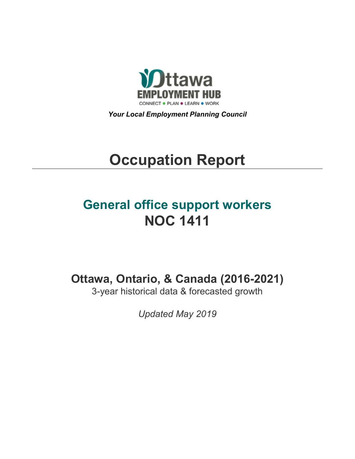

*Your Local Employment Planning Council*

# **Occupation Report**

# **General office support workers NOC 1411**

**Ottawa, Ontario, & Canada (2016-2021)**

3-year historical data & forecasted growth

*Updated May 2019*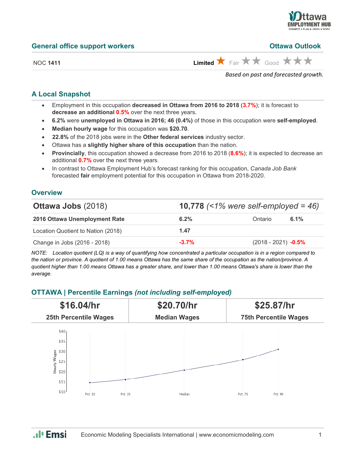

**Ottawa Outlook** 

NOC 1411 **Limited**  $\overrightarrow{X}$  Fair  $\overrightarrow{X}$  Good  $\overrightarrow{X}$   $\overrightarrow{X}$ 

*Based on past and forecasted growth.*

# **A Local Snapshot**

- Employment in this occupation **decreased in Ottawa from 2016 to 2018** (**3.7%**); it is forecast to **decrease an additional 0.5%** over the next three years.
- **6.2%** were **unemployed in Ottawa in 2016; 46 (0.4%)** of those in this occupation were **self-employed**.
- **Median hourly wage** for this occupation was **\$20.70**.
- **22.8%** of the 2018 jobs were in the **Other federal services** industry sector.
- Ottawa has a **slightly higher share of this occupation** than the nation.
- **Provincially**, this occupation showed a decrease from 2016 to 2018 (**8.6%**); it is expected to decrease an additional **0.7%** over the next three years.
- In contrast to Ottawa Employment Hub's forecast ranking for this occupation, *Canada Job Bank*  forecasted **fair** employment potential for this occupation in Ottawa from 2018-2020.

# **Overview**

| <b>Ottawa Jobs (2018)</b>          | <b>10,778</b> (<1% were self-employed = 46) |                       |         |
|------------------------------------|---------------------------------------------|-----------------------|---------|
| 2016 Ottawa Unemployment Rate      | $6.2\%$                                     | Ontario               | $6.1\%$ |
| Location Quotient to Nation (2018) | 1.47                                        |                       |         |
| Change in Jobs (2016 - 2018)       | $-3.7%$                                     | $(2018 - 2021)$ -0.5% |         |

*NOTE: Location quotient (LQ) is a way of quantifying how concentrated a particular occupation is in a region compared to the nation or province. A quotient of 1.00 means Ottawa has the same share of the occupation as the nation/province. A quotient higher than 1.00 means Ottawa has a greater share, and lower than 1.00 means Ottawa's share is lower than the average.*

# **OTTAWA | Percentile Earnings** *(not including self-employed)*



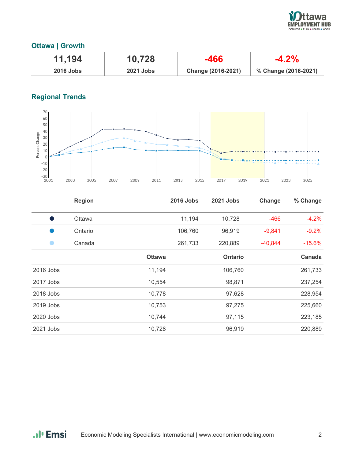

# **Ottawa | Growth**

| 11,194      | 10,728           | -466               | $-4.2\%$             |
|-------------|------------------|--------------------|----------------------|
| $2016$ Jobs | <b>2021 Jobs</b> | Change (2016-2021) | % Change (2016-2021) |

# **Regional Trends**



|           | <b>Region</b> |               | <b>2016 Jobs</b> | 2021 Jobs      | Change    | % Change |
|-----------|---------------|---------------|------------------|----------------|-----------|----------|
|           | <b>Ottawa</b> |               | 11,194           | 10,728         | $-466$    | $-4.2%$  |
|           | Ontario       |               | 106,760          | 96,919         | $-9,841$  | $-9.2%$  |
|           | Canada        |               | 261,733          | 220,889        | $-40,844$ | $-15.6%$ |
|           |               | <b>Ottawa</b> |                  | <b>Ontario</b> |           | Canada   |
| 2016 Jobs |               | 11,194        |                  | 106,760        |           | 261,733  |
| 2017 Jobs |               | 10,554        |                  | 98,871         |           | 237,254  |
| 2018 Jobs |               | 10,778        |                  | 97,628         |           | 228,954  |
| 2019 Jobs |               | 10,753        |                  | 97,275         |           | 225,660  |
| 2020 Jobs |               | 10,744        |                  | 97,115         |           | 223,185  |
| 2021 Jobs |               | 10,728        |                  | 96,919         |           | 220,889  |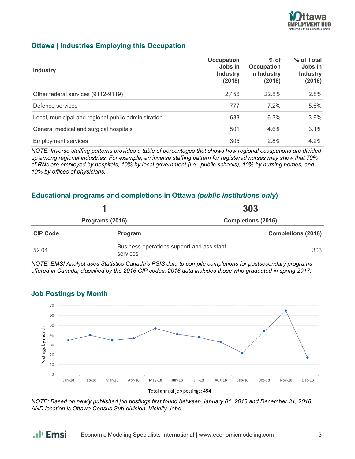

# **Ottawa | Industries Employing this Occupation**

| <b>Industry</b>                                     | Occupation<br>Jobs in<br><b>Industry</b><br>(2018) | $%$ of<br><b>Occupation</b><br>in Industry<br>(2018) | % of Total<br>Jobs in<br><b>Industry</b><br>(2018) |
|-----------------------------------------------------|----------------------------------------------------|------------------------------------------------------|----------------------------------------------------|
| Other federal services (9112-9119)                  | 2,456                                              | 22.8%                                                | 2.8%                                               |
| Defence services                                    | 777                                                | $7.2\%$                                              | 5.6%                                               |
| Local, municipal and regional public administration | 683                                                | 6.3%                                                 | 3.9%                                               |
| General medical and surgical hospitals              | 501                                                | 4.6%                                                 | 3.1%                                               |
| <b>Employment services</b>                          | 305                                                | 2.8%                                                 | $4.2\%$                                            |

*NOTE: Inverse staffing patterns provides a table of percentages that shows how regional occupations are divided up among regional industries. For example, an inverse staffing pattern for registered nurses may show that 70% of RNs are employed by hospitals, 10% by local government (i.e., public schools), 10% by nursing homes, and 10% by offices of physicians.*

## **Educational programs and completions in Ottawa** *(public institutions only***)**

|                 |                                                              | 303                       |  |
|-----------------|--------------------------------------------------------------|---------------------------|--|
| Programs (2016) |                                                              | <b>Completions (2016)</b> |  |
| <b>CIP Code</b> | Program                                                      | <b>Completions (2016)</b> |  |
| 52.04           | Business operations support and assistant<br>303<br>services |                           |  |

*NOTE: EMSI Analyst uses Statistics Canada's PSIS data to compile completions for postsecondary programs offered in Canada, classified by the 2016 CIP codes. 2016 data includes those who graduated in spring 2017.*



#### **Job Postings by Month**

*NOTE: Based on newly published job postings first found between January 01, 2018 and December 31, 2018 AND location is Ottawa Census Sub-division, Vicinity Jobs.*